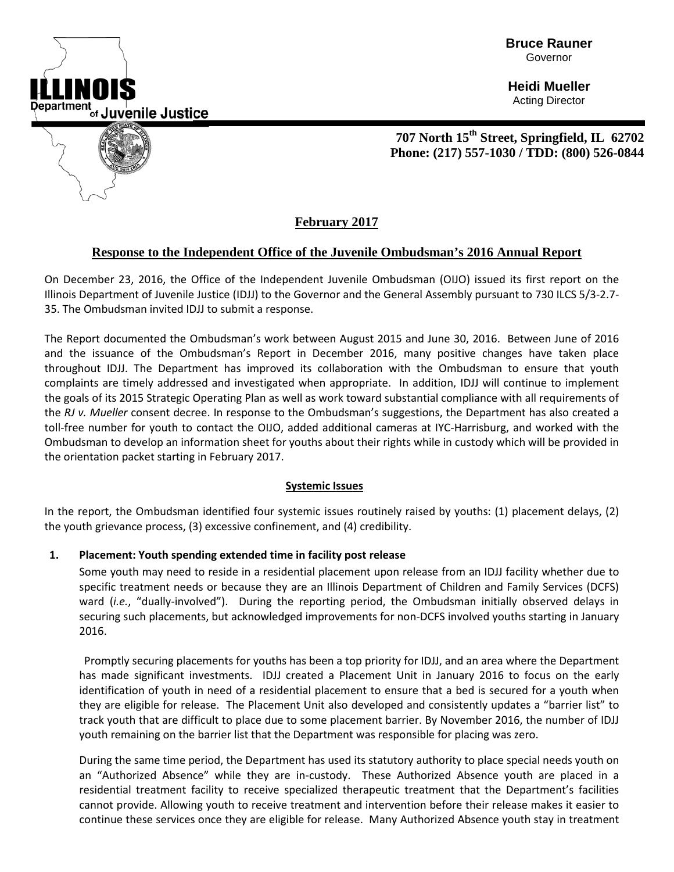

**Bruce Rauner** Governor

**Heidi Mueller** Acting Director



**707 North 15th Street, Springfield, IL 62702 Phone: (217) 557-1030 / TDD: (800) 526-0844**

# **February 2017**

## **Response to the Independent Office of the Juvenile Ombudsman's 2016 Annual Report**

On December 23, 2016, the Office of the Independent Juvenile Ombudsman (OIJO) issued its first report on the Illinois Department of Juvenile Justice (IDJJ) to the Governor and the General Assembly pursuant to 730 ILCS 5/3-2.7- 35. The Ombudsman invited IDJJ to submit a response.

The Report documented the Ombudsman's work between August 2015 and June 30, 2016. Between June of 2016 and the issuance of the Ombudsman's Report in December 2016, many positive changes have taken place throughout IDJJ. The Department has improved its collaboration with the Ombudsman to ensure that youth complaints are timely addressed and investigated when appropriate. In addition, IDJJ will continue to implement the goals of its 2015 Strategic Operating Plan as well as work toward substantial compliance with all requirements of the *RJ v. Mueller* consent decree. In response to the Ombudsman's suggestions, the Department has also created a toll-free number for youth to contact the OIJO, added additional cameras at IYC-Harrisburg, and worked with the Ombudsman to develop an information sheet for youths about their rights while in custody which will be provided in the orientation packet starting in February 2017.

## **Systemic Issues**

In the report, the Ombudsman identified four systemic issues routinely raised by youths: (1) placement delays, (2) the youth grievance process, (3) excessive confinement, and (4) credibility.

## **1. Placement: Youth spending extended time in facility post release**

Some youth may need to reside in a residential placement upon release from an IDJJ facility whether due to specific treatment needs or because they are an Illinois Department of Children and Family Services (DCFS) ward (*i.e.*, "dually-involved"). During the reporting period, the Ombudsman initially observed delays in securing such placements, but acknowledged improvements for non-DCFS involved youths starting in January 2016.

Promptly securing placements for youths has been a top priority for IDJJ, and an area where the Department has made significant investments. IDJJ created a Placement Unit in January 2016 to focus on the early identification of youth in need of a residential placement to ensure that a bed is secured for a youth when they are eligible for release. The Placement Unit also developed and consistently updates a "barrier list" to track youth that are difficult to place due to some placement barrier. By November 2016, the number of IDJJ youth remaining on the barrier list that the Department was responsible for placing was zero.

During the same time period, the Department has used its statutory authority to place special needs youth on an "Authorized Absence" while they are in-custody. These Authorized Absence youth are placed in a residential treatment facility to receive specialized therapeutic treatment that the Department's facilities cannot provide. Allowing youth to receive treatment and intervention before their release makes it easier to continue these services once they are eligible for release. Many Authorized Absence youth stay in treatment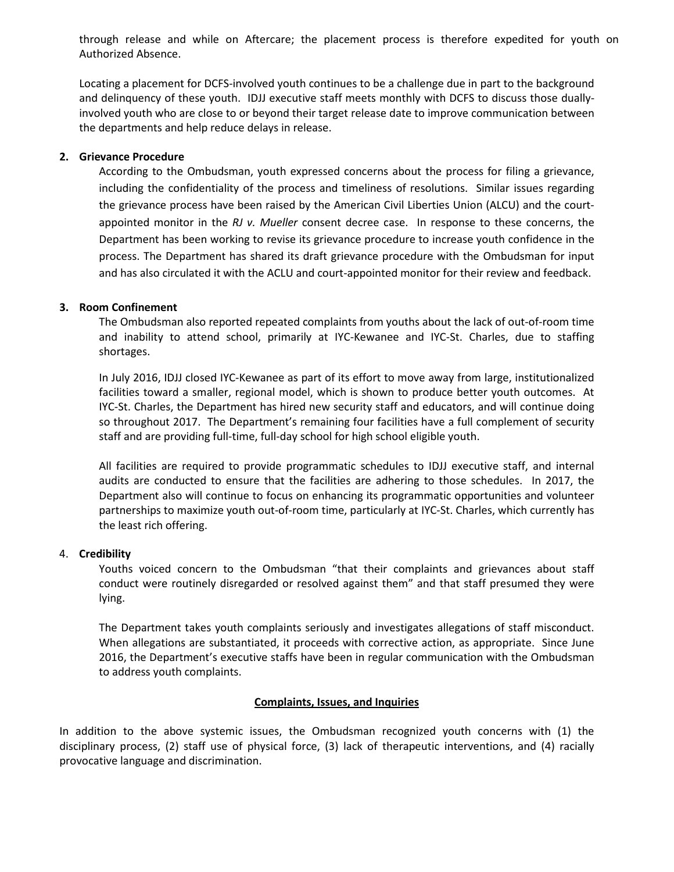through release and while on Aftercare; the placement process is therefore expedited for youth on Authorized Absence.

Locating a placement for DCFS-involved youth continues to be a challenge due in part to the background and delinquency of these youth. IDJJ executive staff meets monthly with DCFS to discuss those duallyinvolved youth who are close to or beyond their target release date to improve communication between the departments and help reduce delays in release.

## **2. Grievance Procedure**

According to the Ombudsman, youth expressed concerns about the process for filing a grievance, including the confidentiality of the process and timeliness of resolutions. Similar issues regarding the grievance process have been raised by the American Civil Liberties Union (ALCU) and the courtappointed monitor in the *RJ v. Mueller* consent decree case. In response to these concerns, the Department has been working to revise its grievance procedure to increase youth confidence in the process. The Department has shared its draft grievance procedure with the Ombudsman for input and has also circulated it with the ACLU and court-appointed monitor for their review and feedback.

## **3. Room Confinement**

The Ombudsman also reported repeated complaints from youths about the lack of out-of-room time and inability to attend school, primarily at IYC-Kewanee and IYC-St. Charles, due to staffing shortages.

In July 2016, IDJJ closed IYC-Kewanee as part of its effort to move away from large, institutionalized facilities toward a smaller, regional model, which is shown to produce better youth outcomes. At IYC-St. Charles, the Department has hired new security staff and educators, and will continue doing so throughout 2017. The Department's remaining four facilities have a full complement of security staff and are providing full-time, full-day school for high school eligible youth.

All facilities are required to provide programmatic schedules to IDJJ executive staff, and internal audits are conducted to ensure that the facilities are adhering to those schedules. In 2017, the Department also will continue to focus on enhancing its programmatic opportunities and volunteer partnerships to maximize youth out-of-room time, particularly at IYC-St. Charles, which currently has the least rich offering.

#### 4. **Credibility**

Youths voiced concern to the Ombudsman "that their complaints and grievances about staff conduct were routinely disregarded or resolved against them" and that staff presumed they were lying.

The Department takes youth complaints seriously and investigates allegations of staff misconduct. When allegations are substantiated, it proceeds with corrective action, as appropriate. Since June 2016, the Department's executive staffs have been in regular communication with the Ombudsman to address youth complaints.

#### **Complaints, Issues, and Inquiries**

In addition to the above systemic issues, the Ombudsman recognized youth concerns with (1) the disciplinary process, (2) staff use of physical force, (3) lack of therapeutic interventions, and (4) racially provocative language and discrimination.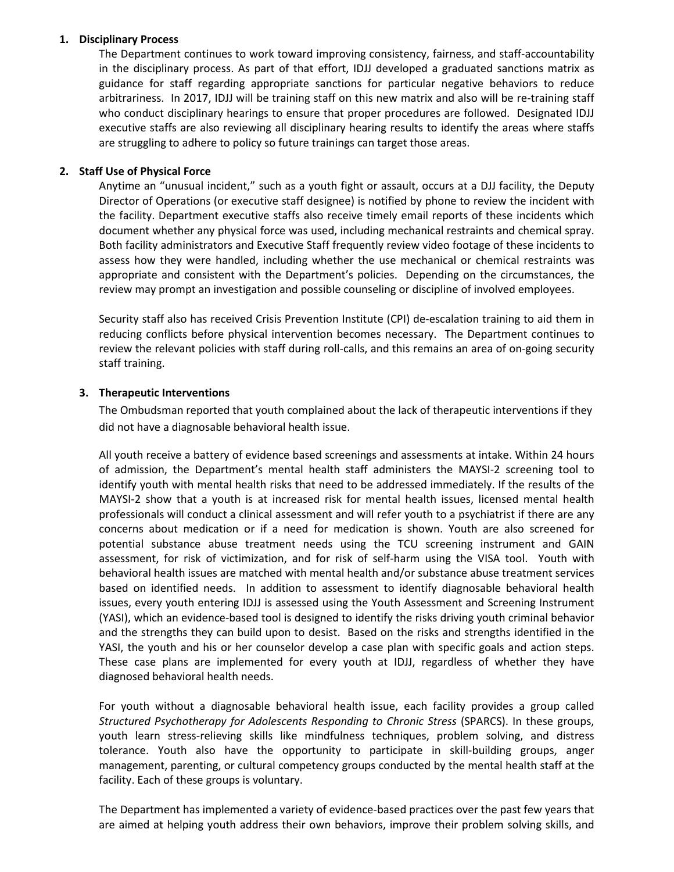### **1. Disciplinary Process**

The Department continues to work toward improving consistency, fairness, and staff-accountability in the disciplinary process. As part of that effort, IDJJ developed a graduated sanctions matrix as guidance for staff regarding appropriate sanctions for particular negative behaviors to reduce arbitrariness. In 2017, IDJJ will be training staff on this new matrix and also will be re-training staff who conduct disciplinary hearings to ensure that proper procedures are followed. Designated IDJJ executive staffs are also reviewing all disciplinary hearing results to identify the areas where staffs are struggling to adhere to policy so future trainings can target those areas.

### **2. Staff Use of Physical Force**

Anytime an "unusual incident," such as a youth fight or assault, occurs at a DJJ facility, the Deputy Director of Operations (or executive staff designee) is notified by phone to review the incident with the facility. Department executive staffs also receive timely email reports of these incidents which document whether any physical force was used, including mechanical restraints and chemical spray. Both facility administrators and Executive Staff frequently review video footage of these incidents to assess how they were handled, including whether the use mechanical or chemical restraints was appropriate and consistent with the Department's policies. Depending on the circumstances, the review may prompt an investigation and possible counseling or discipline of involved employees.

Security staff also has received Crisis Prevention Institute (CPI) de-escalation training to aid them in reducing conflicts before physical intervention becomes necessary. The Department continues to review the relevant policies with staff during roll-calls, and this remains an area of on-going security staff training.

#### **3. Therapeutic Interventions**

The Ombudsman reported that youth complained about the lack of therapeutic interventions if they did not have a diagnosable behavioral health issue.

All youth receive a battery of evidence based screenings and assessments at intake. Within 24 hours of admission, the Department's mental health staff administers the MAYSI-2 screening tool to identify youth with mental health risks that need to be addressed immediately. If the results of the MAYSI-2 show that a youth is at increased risk for mental health issues, licensed mental health professionals will conduct a clinical assessment and will refer youth to a psychiatrist if there are any concerns about medication or if a need for medication is shown. Youth are also screened for potential substance abuse treatment needs using the TCU screening instrument and GAIN assessment, for risk of victimization, and for risk of self-harm using the VISA tool. Youth with behavioral health issues are matched with mental health and/or substance abuse treatment services based on identified needs. In addition to assessment to identify diagnosable behavioral health issues, every youth entering IDJJ is assessed using the Youth Assessment and Screening Instrument (YASI), which an evidence-based tool is designed to identify the risks driving youth criminal behavior and the strengths they can build upon to desist. Based on the risks and strengths identified in the YASI, the youth and his or her counselor develop a case plan with specific goals and action steps. These case plans are implemented for every youth at IDJJ, regardless of whether they have diagnosed behavioral health needs.

For youth without a diagnosable behavioral health issue, each facility provides a group called *Structured Psychotherapy for Adolescents Responding to Chronic Stress* (SPARCS). In these groups, youth learn stress-relieving skills like mindfulness techniques, problem solving, and distress tolerance. Youth also have the opportunity to participate in skill-building groups, anger management, parenting, or cultural competency groups conducted by the mental health staff at the facility. Each of these groups is voluntary.

The Department has implemented a variety of evidence-based practices over the past few years that are aimed at helping youth address their own behaviors, improve their problem solving skills, and